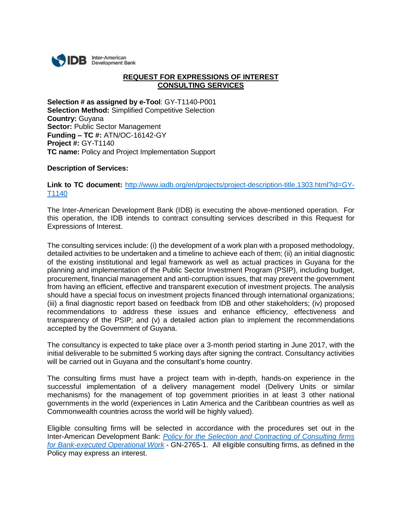

## **REQUEST FOR EXPRESSIONS OF INTEREST CONSULTING SERVICES**

**Selection # as assigned by e-Tool**: GY-T1140-P001 **Selection Method:** Simplified Competitive Selection **Country:** Guyana **Sector:** Public Sector Management **Funding – TC #:** ATN/OC-16142-GY **Project #:** GY-T1140 **TC name:** Policy and Project Implementation Support

## **Description of Services:**

Link to TC document: [http://www.iadb.org/en/projects/project-description-title,1303.html?id=GY-](http://www.iadb.org/en/projects/project-description-title,1303.html?id=GY-T1140)[T1140](http://www.iadb.org/en/projects/project-description-title,1303.html?id=GY-T1140)

The Inter-American Development Bank (IDB) is executing the above-mentioned operation. For this operation, the IDB intends to contract consulting services described in this Request for Expressions of Interest.

The consulting services include: (i) the development of a work plan with a proposed methodology, detailed activities to be undertaken and a timeline to achieve each of them; (ii) an initial diagnostic of the existing institutional and legal framework as well as actual practices in Guyana for the planning and implementation of the Public Sector Investment Program (PSIP), including budget, procurement, financial management and anti-corruption issues, that may prevent the government from having an efficient, effective and transparent execution of investment projects. The analysis should have a special focus on investment projects financed through international organizations; (iii) a final diagnostic report based on feedback from IDB and other stakeholders; (iv) proposed recommendations to address these issues and enhance efficiency, effectiveness and transparency of the PSIP; and (v) a detailed action plan to implement the recommendations accepted by the Government of Guyana.

The consultancy is expected to take place over a 3-month period starting in June 2017, with the initial deliverable to be submitted 5 working days after signing the contract. Consultancy activities will be carried out in Guyana and the consultant's home country.

The consulting firms must have a project team with in-depth, hands-on experience in the successful implementation of a delivery management model (Delivery Units or similar mechanisms) for the management of top government priorities in at least 3 other national governments in the world (experiences in Latin America and the Caribbean countries as well as Commonwealth countries across the world will be highly valued).

Eligible consulting firms will be selected in accordance with the procedures set out in the Inter-American Development Bank: *[Policy for the Selection and Contracting of Consulting firms](http://idbdocs.iadb.org/wsdocs/getdocument.aspx?DOCNUM=38988574)  [for Bank-executed Operational Work](http://idbdocs.iadb.org/wsdocs/getdocument.aspx?DOCNUM=38988574)* - GN-2765-1. All eligible consulting firms, as defined in the Policy may express an interest.